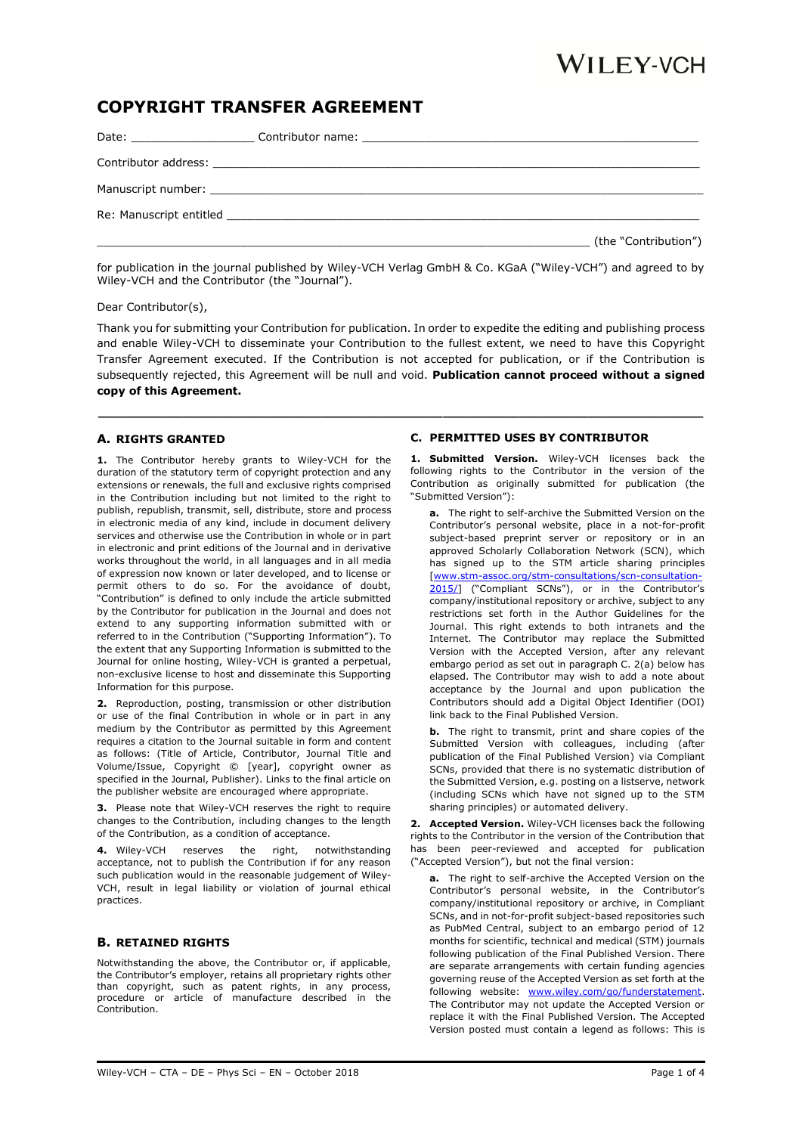# WILEY-VCH

## **COPYRIGHT TRANSFER AGREEMENT**

| Re: Manuscript entitled and the state of the state of the state of the state of the state of the state of the state of the state of the state of the state of the state of the state of the state of the state of the state of |
|--------------------------------------------------------------------------------------------------------------------------------------------------------------------------------------------------------------------------------|
| (the "Contribution")                                                                                                                                                                                                           |

for publication in the journal published by Wiley-VCH Verlag GmbH & Co. KGaA ("Wiley-VCH") and agreed to by Wiley-VCH and the Contributor (the "Journal").

Dear Contributor(s),

Thank you for submitting your Contribution for publication. In order to expedite the editing and publishing process and enable Wiley-VCH to disseminate your Contribution to the fullest extent, we need to have this Copyright Transfer Agreement executed. If the Contribution is not accepted for publication, or if the Contribution is subsequently rejected, this Agreement will be null and void. **Publication cannot proceed without a signed copy of this Agreement.**

**\_\_\_\_\_\_\_\_\_\_\_\_\_\_\_\_\_\_\_\_\_\_\_\_\_\_\_\_\_\_\_\_\_\_\_\_\_\_\_\_\_\_\_\_\_\_\_\_\_\_\_\_\_\_\_\_\_\_\_\_\_\_\_\_\_\_\_\_\_\_\_\_\_\_\_\_\_\_\_**

### **A. RIGHTS GRANTED**

**1.** The Contributor hereby grants to Wiley-VCH for the duration of the statutory term of copyright protection and any extensions or renewals, the full and exclusive rights comprised in the Contribution including but not limited to the right to publish, republish, transmit, sell, distribute, store and process in electronic media of any kind, include in document delivery services and otherwise use the Contribution in whole or in part in electronic and print editions of the Journal and in derivative works throughout the world, in all languages and in all media of expression now known or later developed, and to license or permit others to do so. For the avoidance of doubt, "Contribution" is defined to only include the article submitted by the Contributor for publication in the Journal and does not extend to any supporting information submitted with or referred to in the Contribution ("Supporting Information"). To the extent that any Supporting Information is submitted to the Journal for online hosting, Wiley-VCH is granted a perpetual, non-exclusive license to host and disseminate this Supporting Information for this purpose.

**2.** Reproduction, posting, transmission or other distribution or use of the final Contribution in whole or in part in any medium by the Contributor as permitted by this Agreement requires a citation to the Journal suitable in form and content as follows: (Title of Article, Contributor, Journal Title and Volume/Issue, Copyright © [year], copyright owner as specified in the Journal, Publisher). Links to the final article on the publisher website are encouraged where appropriate.

**3.** Please note that Wiley-VCH reserves the right to require changes to the Contribution, including changes to the length of the Contribution, as a condition of acceptance.

**4.** Wiley-VCH reserves the right, notwithstanding acceptance, not to publish the Contribution if for any reason such publication would in the reasonable judgement of Wiley-VCH, result in legal liability or violation of journal ethical practices.

### **B. RETAINED RIGHTS**

Notwithstanding the above, the Contributor or, if applicable, the Contributor's employer, retains all proprietary rights other than copyright, such as patent rights, in any process, procedure or article of manufacture described in the Contribution.

#### **C. PERMITTED USES BY CONTRIBUTOR**

**1. Submitted Version.** Wiley-VCH licenses back the following rights to the Contributor in the version of the Contribution as originally submitted for publication (the "Submitted Version"):

**a.** The right to self-archive the Submitted Version on the Contributor's personal website, place in a not-for-profit subject-based preprint server or repository or in an approved Scholarly Collaboration Network (SCN), which has signed up to the STM article sharing principles [\[www.stm-assoc.org/stm-consultations/scn-consultation-](http://www.stm-assoc.org/stm-consultations/scn-consultation-2015/)[2015/\]](http://www.stm-assoc.org/stm-consultations/scn-consultation-2015/) ("Compliant SCNs"), or in the Contributor's company/institutional repository or archive, subject to any restrictions set forth in the Author Guidelines for the Journal. This right extends to both intranets and the Internet. The Contributor may replace the Submitted Version with the Accepted Version, after any relevant embargo period as set out in paragraph C. 2(a) below has elapsed. The Contributor may wish to add a note about acceptance by the Journal and upon publication the Contributors should add a Digital Object Identifier (DOI) link back to the Final Published Version.

**b.** The right to transmit, print and share copies of the Submitted Version with colleagues, including (after publication of the Final Published Version) via Compliant SCNs, provided that there is no systematic distribution of the Submitted Version, e.g. posting on a listserve, network (including SCNs which have not signed up to the STM sharing principles) or automated delivery.

**2. Accepted Version.** Wiley-VCH licenses back the following rights to the Contributor in the version of the Contribution that has been peer-reviewed and accepted for publication ("Accepted Version"), but not the final version:

**a.** The right to self-archive the Accepted Version on the Contributor's personal website, in the Contributor's company/institutional repository or archive, in Compliant SCNs, and in not-for-profit subject-based repositories such as PubMed Central, subject to an embargo period of 12 months for scientific, technical and medical (STM) journals following publication of the Final Published Version. There are separate arrangements with certain funding agencies governing reuse of the Accepted Version as set forth at the following website: [www.wiley.com/go/funderstatement.](http://www.wiley.com/go/funderstatement) The Contributor may not update the Accepted Version or replace it with the Final Published Version. The Accepted Version posted must contain a legend as follows: This is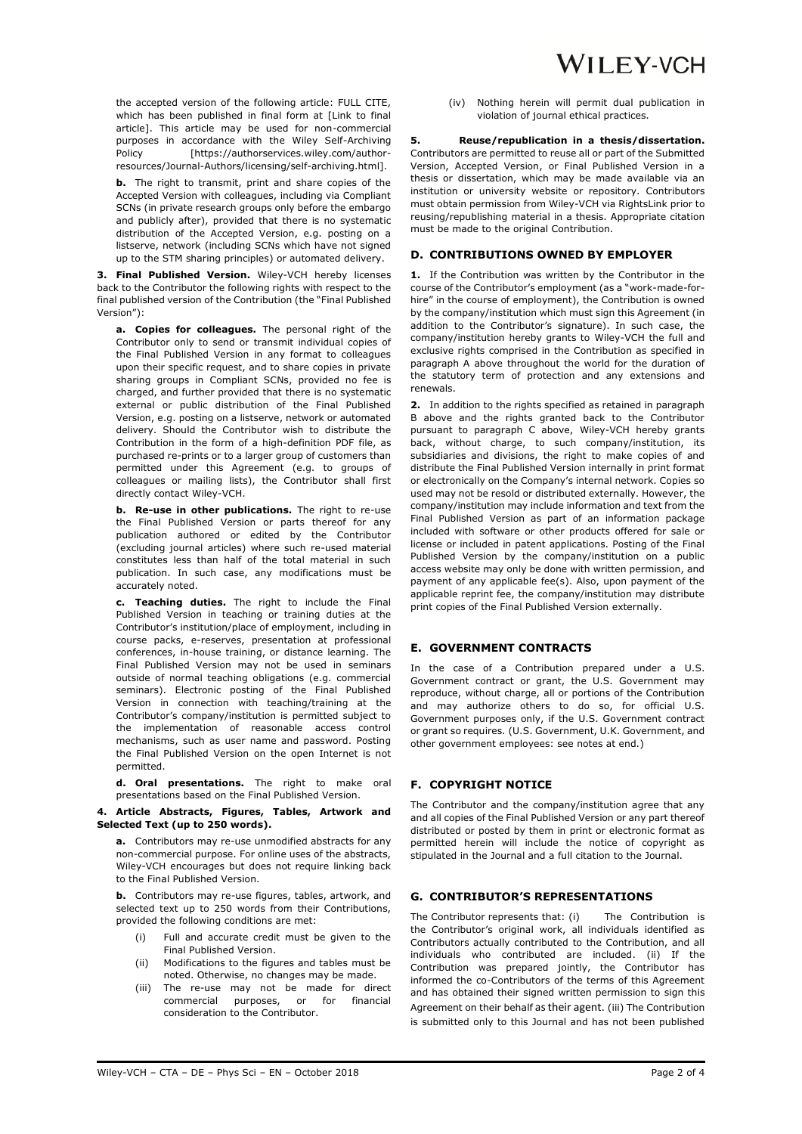the accepted version of the following article: FULL CITE, which has been published in final form at [Link to final article]. This article may be used for non-commercial purposes in accordance with the Wiley Self-Archiving Policy [https://authorservices.wiley.com/authorresources/Journal-Authors/licensing/self-archiving.html].

**b.** The right to transmit, print and share copies of the Accepted Version with colleagues, including via Compliant SCNs (in private research groups only before the embargo and publicly after), provided that there is no systematic distribution of the Accepted Version, e.g. posting on a listserve, network (including SCNs which have not signed up to the STM sharing principles) or automated delivery.

**3. Final Published Version.** Wiley-VCH hereby licenses back to the Contributor the following rights with respect to the final published version of the Contribution (the "Final Published Version"):

**a. Copies for colleagues.** The personal right of the Contributor only to send or transmit individual copies of the Final Published Version in any format to colleagues upon their specific request, and to share copies in private sharing groups in Compliant SCNs, provided no fee is charged, and further provided that there is no systematic external or public distribution of the Final Published Version, e.g. posting on a listserve, network or automated delivery. Should the Contributor wish to distribute the Contribution in the form of a high-definition PDF file, as purchased re-prints or to a larger group of customers than permitted under this Agreement (e.g. to groups of colleagues or mailing lists), the Contributor shall first directly contact Wiley-VCH.

**b. Re-use in other publications.** The right to re-use the Final Published Version or parts thereof for any publication authored or edited by the Contributor (excluding journal articles) where such re-used material constitutes less than half of the total material in such publication. In such case, any modifications must be accurately noted.

**c. Teaching duties.** The right to include the Final Published Version in teaching or training duties at the Contributor's institution/place of employment, including in course packs, e-reserves, presentation at professional conferences, in-house training, or distance learning. The Final Published Version may not be used in seminars outside of normal teaching obligations (e.g. commercial seminars). Electronic posting of the Final Published Version in connection with teaching/training at the Contributor's company/institution is permitted subject to the implementation of reasonable access control mechanisms, such as user name and password. Posting the Final Published Version on the open Internet is not permitted.

**d. Oral presentations.** The right to make oral presentations based on the Final Published Version.

#### **4. Article Abstracts, Figures, Tables, Artwork and Selected Text (up to 250 words).**

**a.** Contributors may re-use unmodified abstracts for any non-commercial purpose. For online uses of the abstracts, Wiley-VCH encourages but does not require linking back to the Final Published Version.

**b.** Contributors may re-use figures, tables, artwork, and selected text up to 250 words from their Contributions, provided the following conditions are met:

- (i) Full and accurate credit must be given to the Final Published Version.
- (ii) Modifications to the figures and tables must be noted. Otherwise, no changes may be made.
- (iii) The re-use may not be made for direct commercial purposes, or for financial consideration to the Contributor.

(iv) Nothing herein will permit dual publication in violation of journal ethical practices.

**5. Reuse/republication in a thesis/dissertation.** Contributors are permitted to reuse all or part of the Submitted Version, Accepted Version, or Final Published Version in a thesis or dissertation, which may be made available via an institution or university website or repository. Contributors must obtain permission from Wiley-VCH via RightsLink prior to reusing/republishing material in a thesis. Appropriate citation must be made to the original Contribution.

#### **D. CONTRIBUTIONS OWNED BY EMPLOYER**

**1.** If the Contribution was written by the Contributor in the course of the Contributor's employment (as a "work-made-forhire" in the course of employment), the Contribution is owned by the company/institution which must sign this Agreement (in addition to the Contributor's signature). In such case, the company/institution hereby grants to Wiley-VCH the full and exclusive rights comprised in the Contribution as specified in paragraph A above throughout the world for the duration of the statutory term of protection and any extensions and renewals.

**2.** In addition to the rights specified as retained in paragraph B above and the rights granted back to the Contributor pursuant to paragraph C above, Wiley-VCH hereby grants back, without charge, to such company/institution, its subsidiaries and divisions, the right to make copies of and distribute the Final Published Version internally in print format or electronically on the Company's internal network. Copies so used may not be resold or distributed externally. However, the company/institution may include information and text from the Final Published Version as part of an information package included with software or other products offered for sale or license or included in patent applications. Posting of the Final Published Version by the company/institution on a public access website may only be done with written permission, and payment of any applicable fee(s). Also, upon payment of the applicable reprint fee, the company/institution may distribute print copies of the Final Published Version externally.

### **E. GOVERNMENT CONTRACTS**

In the case of a Contribution prepared under a U.S. Government contract or grant, the U.S. Government may reproduce, without charge, all or portions of the Contribution and may authorize others to do so, for official U.S. Government purposes only, if the U.S. Government contract or grant so requires. (U.S. Government, U.K. Government, and other government employees: see notes at end.)

#### **F. COPYRIGHT NOTICE**

The Contributor and the company/institution agree that any and all copies of the Final Published Version or any part thereof distributed or posted by them in print or electronic format as permitted herein will include the notice of copyright as stipulated in the Journal and a full citation to the Journal.

### **G. CONTRIBUTOR'S REPRESENTATIONS**

The Contributor represents that: (i) The Contribution is the Contributor's original work, all individuals identified as Contributors actually contributed to the Contribution, and all individuals who contributed are included. (ii) If the Contribution was prepared jointly, the Contributor has informed the co-Contributors of the terms of this Agreement and has obtained their signed written permission to sign this Agreement on their behalf as their agent. (iii) The Contribution is submitted only to this Journal and has not been published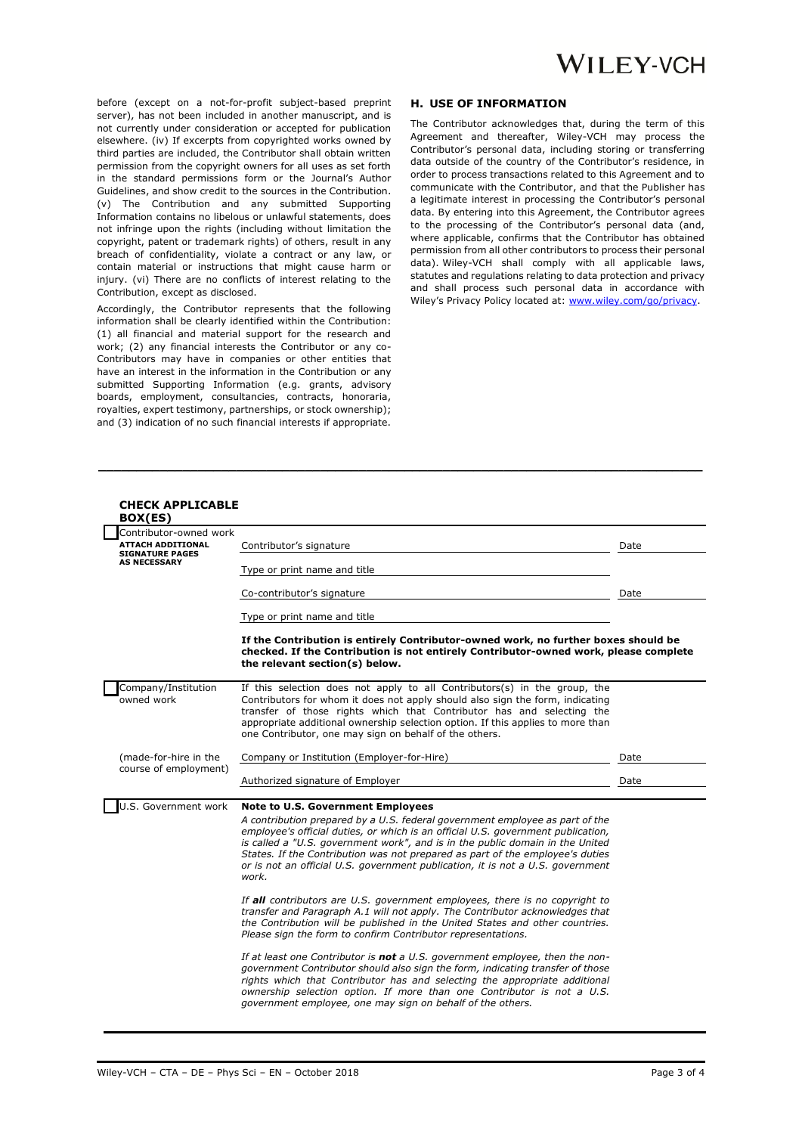before (except on a not-for-profit subject-based preprint server), has not been included in another manuscript, and is not currently under consideration or accepted for publication elsewhere. (iv) If excerpts from copyrighted works owned by third parties are included, the Contributor shall obtain written permission from the copyright owners for all uses as set forth in the standard permissions form or the Journal's Author Guidelines, and show credit to the sources in the Contribution. (v) The Contribution and any submitted Supporting Information contains no libelous or unlawful statements, does not infringe upon the rights (including without limitation the copyright, patent or trademark rights) of others, result in any breach of confidentiality, violate a contract or any law, or contain material or instructions that might cause harm or injury. (vi) There are no conflicts of interest relating to the Contribution, except as disclosed.

Accordingly, the Contributor represents that the following information shall be clearly identified within the Contribution: (1) all financial and material support for the research and work; (2) any financial interests the Contributor or any co-Contributors may have in companies or other entities that have an interest in the information in the Contribution or any submitted Supporting Information (e.g. grants, advisory boards, employment, consultancies, contracts, honoraria, royalties, expert testimony, partnerships, or stock ownership); and (3) indication of no such financial interests if appropriate.

#### **H. USE OF INFORMATION**

The Contributor acknowledges that, during the term of this Agreement and thereafter, Wiley-VCH may process the Contributor's personal data, including storing or transferring data outside of the country of the Contributor's residence, in order to process transactions related to this Agreement and to communicate with the Contributor, and that the Publisher has a legitimate interest in processing the Contributor's personal data. By entering into this Agreement, the Contributor agrees to the processing of the Contributor's personal data (and, where applicable, confirms that the Contributor has obtained permission from all other contributors to process their personal data). Wiley-VCH shall comply with all applicable laws, statutes and regulations relating to data protection and privacy and shall process such personal data in accordance with Wiley's Privacy Policy located at[: www.wiley.com/go/privacy.](http://www.wiley.com/go/privacy)

| <b>CHECK APPLICABLE</b><br>BOX(ES)                                                                  |                                                                                                                                                                                                                                                                                                                                                                                                                                                                           |      |
|-----------------------------------------------------------------------------------------------------|---------------------------------------------------------------------------------------------------------------------------------------------------------------------------------------------------------------------------------------------------------------------------------------------------------------------------------------------------------------------------------------------------------------------------------------------------------------------------|------|
| Contributor-owned work<br><b>ATTACH ADDITIONAL</b><br><b>SIGNATURE PAGES</b><br><b>AS NECESSARY</b> | Contributor's signature                                                                                                                                                                                                                                                                                                                                                                                                                                                   | Date |
|                                                                                                     | Type or print name and title                                                                                                                                                                                                                                                                                                                                                                                                                                              |      |
|                                                                                                     | Co-contributor's signature                                                                                                                                                                                                                                                                                                                                                                                                                                                | Date |
|                                                                                                     | Type or print name and title                                                                                                                                                                                                                                                                                                                                                                                                                                              |      |
|                                                                                                     | If the Contribution is entirely Contributor-owned work, no further boxes should be<br>checked. If the Contribution is not entirely Contributor-owned work, please complete<br>the relevant section(s) below.                                                                                                                                                                                                                                                              |      |
| Company/Institution<br>owned work                                                                   | If this selection does not apply to all Contributors(s) in the group, the<br>Contributors for whom it does not apply should also sign the form, indicating<br>transfer of those rights which that Contributor has and selecting the<br>appropriate additional ownership selection option. If this applies to more than<br>one Contributor, one may sign on behalf of the others.                                                                                          |      |
| (made-for-hire in the                                                                               | Company or Institution (Employer-for-Hire)                                                                                                                                                                                                                                                                                                                                                                                                                                | Date |
| course of employment)                                                                               | Authorized signature of Employer                                                                                                                                                                                                                                                                                                                                                                                                                                          | Date |
|                                                                                                     |                                                                                                                                                                                                                                                                                                                                                                                                                                                                           |      |
| J.S. Government work                                                                                | <b>Note to U.S. Government Employees</b><br>A contribution prepared by a U.S. federal government employee as part of the<br>employee's official duties, or which is an official U.S. government publication,<br>is called a "U.S. government work", and is in the public domain in the United<br>States. If the Contribution was not prepared as part of the employee's duties<br>or is not an official U.S. government publication, it is not a U.S. government<br>work. |      |
|                                                                                                     | If all contributors are U.S. government employees, there is no copyright to<br>transfer and Paragraph A.1 will not apply. The Contributor acknowledges that<br>the Contribution will be published in the United States and other countries.<br>Please sign the form to confirm Contributor representations.                                                                                                                                                               |      |
|                                                                                                     | If at least one Contributor is <b>not</b> a U.S. government employee, then the non-<br>government Contributor should also sign the form, indicating transfer of those<br>rights which that Contributor has and selecting the appropriate additional<br>ownership selection option. If more than one Contributor is not a U.S.<br>government employee, one may sign on behalf of the others.                                                                               |      |

**\_\_\_\_\_\_\_\_\_\_\_\_\_\_\_\_\_\_\_\_\_\_\_\_\_\_\_\_\_\_\_\_\_\_\_\_\_\_\_\_\_\_\_\_\_\_\_\_\_\_\_\_\_\_\_\_\_\_\_\_\_\_\_\_\_\_\_\_\_\_\_\_\_\_\_\_\_\_\_**